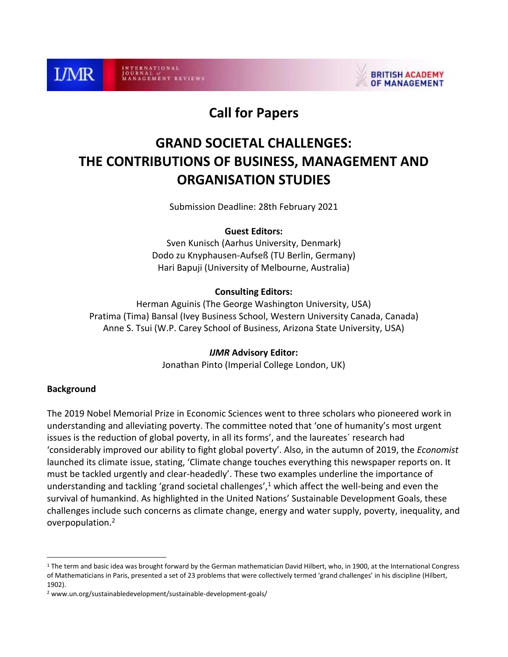

INTERNATIONAL<br>JOURNAL V **GEMENT REVIEWS** 



# **Call for Papers**

# **GRAND SOCIETAL CHALLENGES: THE CONTRIBUTIONS OF BUSINESS, MANAGEMENT AND ORGANISATION STUDIES**

Submission Deadline: 28th February 2021

#### **Guest Editors:**

Sven Kunisch (Aarhus University, Denmark) Dodo zu Knyphausen-Aufseß (TU Berlin, Germany) Hari Bapuji (University of Melbourne, Australia)

#### **Consulting Editors:**

Herman Aguinis (The George Washington University, USA) Pratima (Tima) Bansal (Ivey Business School, Western University Canada, Canada) Anne S. Tsui (W.P. Carey School of Business, Arizona State University, USA)

#### *IJMR* **Advisory Editor:**

Jonathan Pinto (Imperial College London, UK)

#### **Background**

 $\overline{a}$ 

The 2019 Nobel Memorial Prize in Economic Sciences went to three scholars who pioneered work in understanding and alleviating poverty. The committee noted that 'one of humanity's most urgent issues is the reduction of global poverty, in all its forms', and the laureates´ research had 'considerably improved our ability to fight global poverty'. Also, in the autumn of 2019, the *Economist* launched its climate issue, stating, 'Climate change touches everything this newspaper reports on. It must be tackled urgently and clear-headedly'. These two examples underline the importance of understanding and tackling 'grand societal challenges', $1$  which affect the well-being and even the survival of humankind. As highlighted in the United Nations' Sustainable Development Goals, these challenges include such concerns as climate change, energy and water supply, poverty, inequality, and overpopulation.<sup>2</sup>

 $1$  The term and basic idea was brought forward by the German mathematician David Hilbert, who, in 1900, at the International Congress of Mathematicians in Paris, presented a set of 23 problems that were collectively termed 'grand challenges' in his discipline (Hilbert, 1902).

<sup>2</sup> www.un.org/sustainabledevelopment/sustainable-development-goals/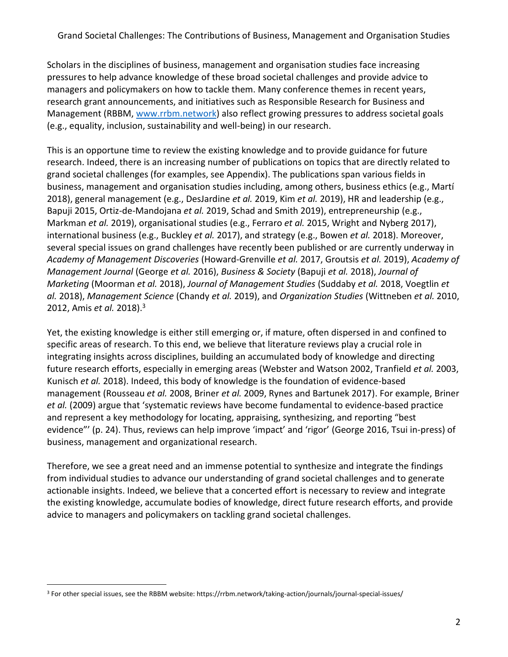Scholars in the disciplines of business, management and organisation studies face increasing pressures to help advance knowledge of these broad societal challenges and provide advice to managers and policymakers on how to tackle them. Many conference themes in recent years, research grant announcements, and initiatives such as Responsible Research for Business and Management (RBBM, [www.rrbm.network\)](http://www.rrbm.network/) also reflect growing pressures to address societal goals (e.g., equality, inclusion, sustainability and well-being) in our research.

This is an opportune time to review the existing knowledge and to provide guidance for future research. Indeed, there is an increasing number of publications on topics that are directly related to grand societal challenges (for examples, see Appendix). The publications span various fields in business, management and organisation studies including, among others, business ethics (e.g., Martí 2018), general management (e.g., DesJardine *et al.* 2019, Kim *et al.* 2019), HR and leadership (e.g., Bapuji 2015, Ortiz-de-Mandojana *et al.* 2019, Schad and Smith 2019), entrepreneurship (e.g., Markman *et al.* 2019), organisational studies (e.g., Ferraro *et al.* 2015, Wright and Nyberg 2017), international business (e.g., Buckley *et al.* 2017), and strategy (e.g., Bowen *et al.* 2018). Moreover, several special issues on grand challenges have recently been published or are currently underway in *Academy of Management Discoveries* (Howard-Grenville *et al.* 2017, Groutsis *et al.* 2019), *Academy of Management Journal* (George *et al.* 2016), *Business & Society* (Bapuji *et al.* 2018), *Journal of Marketing* (Moorman *et al.* 2018), *Journal of Management Studies* (Suddaby *et al.* 2018, Voegtlin *et al.* 2018), *Management Science* (Chandy *et al.* 2019), and *Organization Studies* (Wittneben *et al.* 2010, 2012, Amis *et al.* 2018). 3

Yet, the existing knowledge is either still emerging or, if mature, often dispersed in and confined to specific areas of research. To this end, we believe that literature reviews play a crucial role in integrating insights across disciplines, building an accumulated body of knowledge and directing future research efforts, especially in emerging areas (Webster and Watson 2002, Tranfield *et al.* 2003, Kunisch *et al.* 2018). Indeed, this body of knowledge is the foundation of evidence-based management (Rousseau *et al.* 2008, Briner *et al.* 2009, Rynes and Bartunek 2017). For example, Briner *et al.* (2009) argue that 'systematic reviews have become fundamental to evidence-based practice and represent a key methodology for locating, appraising, synthesizing, and reporting "best evidence"' (p. 24). Thus, reviews can help improve 'impact' and 'rigor' (George 2016, Tsui in-press) of business, management and organizational research.

Therefore, we see a great need and an immense potential to synthesize and integrate the findings from individual studies to advance our understanding of grand societal challenges and to generate actionable insights. Indeed, we believe that a concerted effort is necessary to review and integrate the existing knowledge, accumulate bodies of knowledge, direct future research efforts, and provide advice to managers and policymakers on tackling grand societal challenges.

 $\overline{a}$ <sup>3</sup> For other special issues, see the RBBM website: https://rrbm.network/taking-action/journals/journal-special-issues/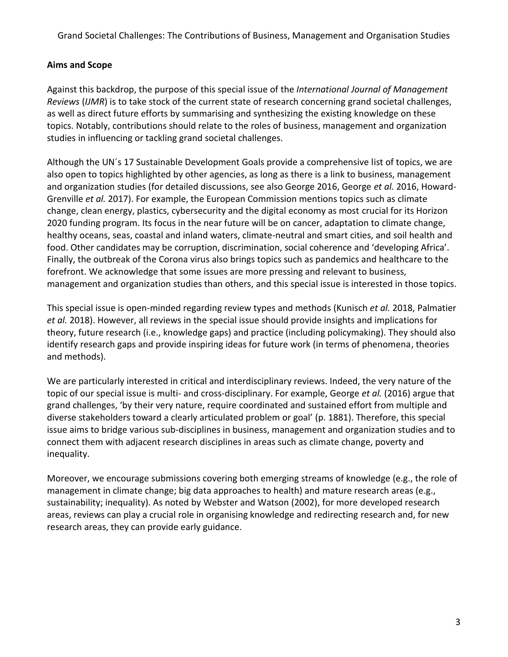#### **Aims and Scope**

Against this backdrop, the purpose of this special issue of the *International Journal of Management Reviews* (*IJMR*) is to take stock of the current state of research concerning grand societal challenges, as well as direct future efforts by summarising and synthesizing the existing knowledge on these topics. Notably, contributions should relate to the roles of business, management and organization studies in influencing or tackling grand societal challenges.

Although the UN´s 17 Sustainable Development Goals provide a comprehensive list of topics, we are also open to topics highlighted by other agencies, as long as there is a link to business, management and organization studies (for detailed discussions, see also George 2016, George *et al.* 2016, Howard-Grenville *et al.* 2017). For example, the European Commission mentions topics such as climate change, clean energy, plastics, cybersecurity and the digital economy as most crucial for its Horizon 2020 funding program. Its focus in the near future will be on cancer, adaptation to climate change, healthy oceans, seas, coastal and inland waters, climate-neutral and smart cities, and soil health and food. Other candidates may be corruption, discrimination, social coherence and 'developing Africa'. Finally, the outbreak of the Corona virus also brings topics such as pandemics and healthcare to the forefront. We acknowledge that some issues are more pressing and relevant to business, management and organization studies than others, and this special issue is interested in those topics.

This special issue is open-minded regarding review types and methods (Kunisch *et al.* 2018, Palmatier *et al.* 2018). However, all reviews in the special issue should provide insights and implications for theory, future research (i.e., knowledge gaps) and practice (including policymaking). They should also identify research gaps and provide inspiring ideas for future work (in terms of phenomena, theories and methods).

We are particularly interested in critical and interdisciplinary reviews. Indeed, the very nature of the topic of our special issue is multi- and cross-disciplinary. For example, George *et al.* (2016) argue that grand challenges, 'by their very nature, require coordinated and sustained effort from multiple and diverse stakeholders toward a clearly articulated problem or goal' (p. 1881). Therefore, this special issue aims to bridge various sub-disciplines in business, management and organization studies and to connect them with adjacent research disciplines in areas such as climate change, poverty and inequality.

Moreover, we encourage submissions covering both emerging streams of knowledge (e.g., the role of management in climate change; big data approaches to health) and mature research areas (e.g., sustainability; inequality). As noted by Webster and Watson (2002), for more developed research areas, reviews can play a crucial role in organising knowledge and redirecting research and, for new research areas, they can provide early guidance.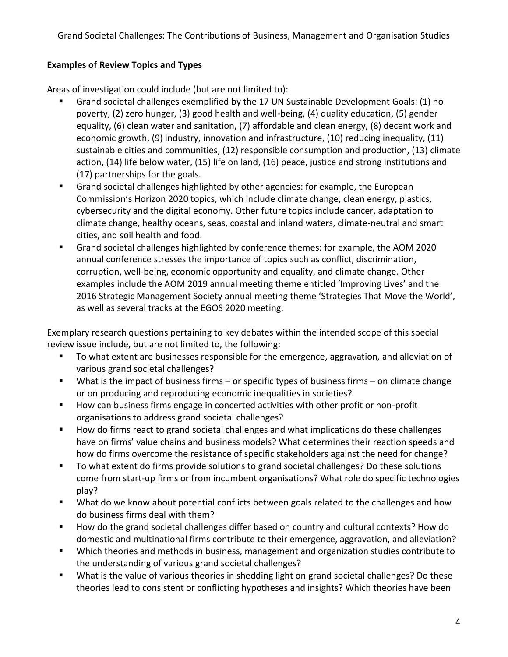# **Examples of Review Topics and Types**

Areas of investigation could include (but are not limited to):

- Grand societal challenges exemplified by the 17 UN Sustainable Development Goals: (1) no poverty, (2) zero hunger, (3) good health and well-being, (4) quality education, (5) gender equality, (6) clean water and sanitation, (7) affordable and clean energy, (8) decent work and economic growth, (9) industry, innovation and infrastructure, (10) reducing inequality, (11) sustainable cities and communities, (12) responsible consumption and production, (13) climate action, (14) life below water, (15) life on land, (16) peace, justice and strong institutions and (17) partnerships for the goals.
- Grand societal challenges highlighted by other agencies: for example, the European Commission's Horizon 2020 topics, which include climate change, clean energy, plastics, cybersecurity and the digital economy. Other future topics include cancer, adaptation to climate change, healthy oceans, seas, coastal and inland waters, climate-neutral and smart cities, and soil health and food.
- Grand societal challenges highlighted by conference themes: for example, the AOM 2020 annual conference stresses the importance of topics such as conflict, discrimination, corruption, well-being, economic opportunity and equality, and climate change. Other examples include the AOM 2019 annual meeting theme entitled 'Improving Lives' and the 2016 Strategic Management Society annual meeting theme 'Strategies That Move the World', as well as several tracks at the EGOS 2020 meeting.

Exemplary research questions pertaining to key debates within the intended scope of this special review issue include, but are not limited to, the following:

- To what extent are businesses responsible for the emergence, aggravation, and alleviation of various grand societal challenges?
- What is the impact of business firms or specific types of business firms on climate change or on producing and reproducing economic inequalities in societies?
- How can business firms engage in concerted activities with other profit or non-profit organisations to address grand societal challenges?
- How do firms react to grand societal challenges and what implications do these challenges have on firms' value chains and business models? What determines their reaction speeds and how do firms overcome the resistance of specific stakeholders against the need for change?
- To what extent do firms provide solutions to grand societal challenges? Do these solutions come from start-up firms or from incumbent organisations? What role do specific technologies play?
- What do we know about potential conflicts between goals related to the challenges and how do business firms deal with them?
- How do the grand societal challenges differ based on country and cultural contexts? How do domestic and multinational firms contribute to their emergence, aggravation, and alleviation?
- Which theories and methods in business, management and organization studies contribute to the understanding of various grand societal challenges?
- What is the value of various theories in shedding light on grand societal challenges? Do these theories lead to consistent or conflicting hypotheses and insights? Which theories have been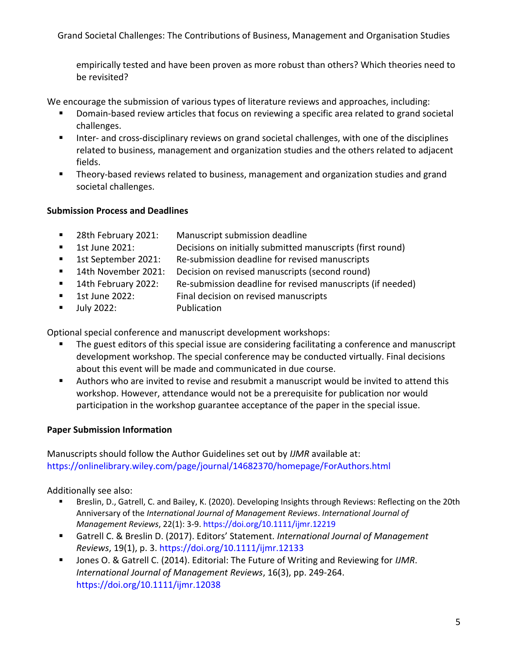empirically tested and have been proven as more robust than others? Which theories need to be revisited?

We encourage the submission of various types of literature reviews and approaches, including:

- Domain-based review articles that focus on reviewing a specific area related to grand societal challenges.
- **Inter- and cross-disciplinary reviews on grand societal challenges, with one of the disciplines** related to business, management and organization studies and the others related to adjacent fields.
- Theory-based reviews related to business, management and organization studies and grand societal challenges.

# **Submission Process and Deadlines**

- 28th February 2021: Manuscript submission deadline
- 1st June 2021: Decisions on initially submitted manuscripts (first round)
- 1st September 2021: Re-submission deadline for revised manuscripts
- 14th November 2021: Decision on revised manuscripts (second round)
- 14th February 2022: Re-submission deadline for revised manuscripts (if needed)
- **1st June 2022:** Final decision on revised manuscripts
- Ully 2022: Publication

Optional special conference and manuscript development workshops:

- The guest editors of this special issue are considering facilitating a conference and manuscript development workshop. The special conference may be conducted virtually. Final decisions about this event will be made and communicated in due course.
- Authors who are invited to revise and resubmit a manuscript would be invited to attend this workshop. However, attendance would not be a prerequisite for publication nor would participation in the workshop guarantee acceptance of the paper in the special issue.

# **Paper Submission Information**

Manuscripts should follow the Author Guidelines set out by *IJMR* available at: https://onlinelibrary.wiley.com/page/journal/14682370/homepage/ForAuthors.html

Additionally see also:

- Breslin, D., Gatrell, C. and Bailey, K. (2020). Developing Insights through Reviews: Reflecting on the 20th Anniversary of the *International Journal of Management Reviews*. *International Journal of Management Reviews*, 22(1): 3-9. https://doi.org/10.1111/ijmr.12219
- Gatrell C. & Breslin D. (2017). Editors' Statement. *International Journal of Management Reviews*, 19(1), p. 3. https://doi.org/10.1111/ijmr.12133
- Jones O. & Gatrell C. (2014). Editorial: The Future of Writing and Reviewing for *IJMR*. *International Journal of Management Reviews*, 16(3), pp. 249-264. https://doi.org/10.1111/ijmr.12038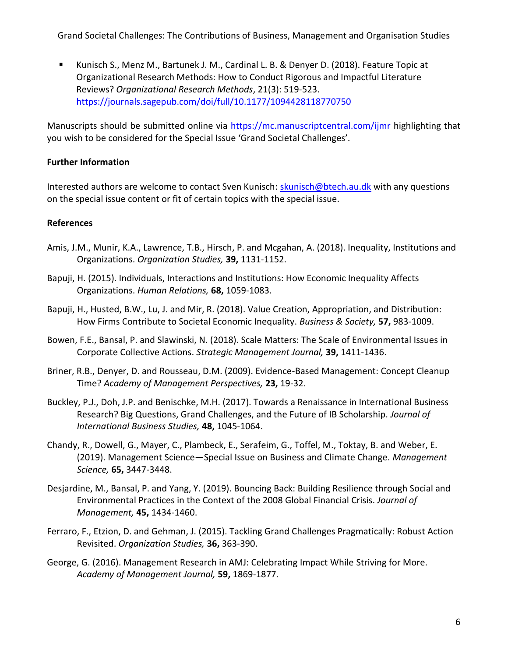Kunisch S., Menz M., Bartunek J. M., Cardinal L. B. & Denyer D. (2018). Feature Topic at Organizational Research Methods: How to Conduct Rigorous and Impactful Literature Reviews? *Organizational Research Methods*, 21(3): 519-523. https://journals.sagepub.com/doi/full/10.1177/1094428118770750

Manuscripts should be submitted online via https://mc.manuscriptcentral.com/ijmr highlighting that you wish to be considered for the Special Issue 'Grand Societal Challenges'.

# **Further Information**

Interested authors are welcome to contact Sven Kunisch: [skunisch@btech.au.dk](mailto:skunisch@btech.au.dk) with any questions on the special issue content or fit of certain topics with the special issue.

# **References**

- Amis, J.M., Munir, K.A., Lawrence, T.B., Hirsch, P. and Mcgahan, A. (2018). Inequality, Institutions and Organizations. *Organization Studies,* **39,** 1131-1152.
- Bapuji, H. (2015). Individuals, Interactions and Institutions: How Economic Inequality Affects Organizations. *Human Relations,* **68,** 1059-1083.
- Bapuji, H., Husted, B.W., Lu, J. and Mir, R. (2018). Value Creation, Appropriation, and Distribution: How Firms Contribute to Societal Economic Inequality. *Business & Society,* **57,** 983-1009.
- Bowen, F.E., Bansal, P. and Slawinski, N. (2018). Scale Matters: The Scale of Environmental Issues in Corporate Collective Actions. *Strategic Management Journal,* **39,** 1411-1436.
- Briner, R.B., Denyer, D. and Rousseau, D.M. (2009). Evidence-Based Management: Concept Cleanup Time? *Academy of Management Perspectives,* **23,** 19-32.
- Buckley, P.J., Doh, J.P. and Benischke, M.H. (2017). Towards a Renaissance in International Business Research? Big Questions, Grand Challenges, and the Future of IB Scholarship. *Journal of International Business Studies,* **48,** 1045-1064.
- Chandy, R., Dowell, G., Mayer, C., Plambeck, E., Serafeim, G., Toffel, M., Toktay, B. and Weber, E. (2019). Management Science—Special Issue on Business and Climate Change. *Management Science,* **65,** 3447-3448.
- Desjardine, M., Bansal, P. and Yang, Y. (2019). Bouncing Back: Building Resilience through Social and Environmental Practices in the Context of the 2008 Global Financial Crisis. *Journal of Management,* **45,** 1434-1460.
- Ferraro, F., Etzion, D. and Gehman, J. (2015). Tackling Grand Challenges Pragmatically: Robust Action Revisited. *Organization Studies,* **36,** 363-390.
- George, G. (2016). Management Research in AMJ: Celebrating Impact While Striving for More. *Academy of Management Journal,* **59,** 1869-1877.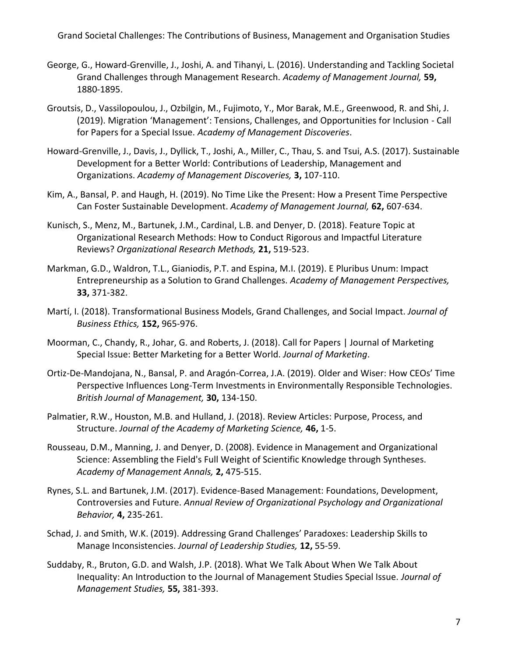- George, G., Howard-Grenville, J., Joshi, A. and Tihanyi, L. (2016). Understanding and Tackling Societal Grand Challenges through Management Research. *Academy of Management Journal,* **59,** 1880-1895.
- Groutsis, D., Vassilopoulou, J., Ozbilgin, M., Fujimoto, Y., Mor Barak, M.E., Greenwood, R. and Shi, J. (2019). Migration 'Management': Tensions, Challenges, and Opportunities for Inclusion - Call for Papers for a Special Issue. *Academy of Management Discoveries*.
- Howard-Grenville, J., Davis, J., Dyllick, T., Joshi, A., Miller, C., Thau, S. and Tsui, A.S. (2017). Sustainable Development for a Better World: Contributions of Leadership, Management and Organizations. *Academy of Management Discoveries,* **3,** 107-110.
- Kim, A., Bansal, P. and Haugh, H. (2019). No Time Like the Present: How a Present Time Perspective Can Foster Sustainable Development. *Academy of Management Journal,* **62,** 607-634.
- Kunisch, S., Menz, M., Bartunek, J.M., Cardinal, L.B. and Denyer, D. (2018). Feature Topic at Organizational Research Methods: How to Conduct Rigorous and Impactful Literature Reviews? *Organizational Research Methods,* **21,** 519-523.
- Markman, G.D., Waldron, T.L., Gianiodis, P.T. and Espina, M.I. (2019). E Pluribus Unum: Impact Entrepreneurship as a Solution to Grand Challenges. *Academy of Management Perspectives,* **33,** 371-382.
- Martí, I. (2018). Transformational Business Models, Grand Challenges, and Social Impact. *Journal of Business Ethics,* **152,** 965-976.
- Moorman, C., Chandy, R., Johar, G. and Roberts, J. (2018). Call for Papers | Journal of Marketing Special Issue: Better Marketing for a Better World. *Journal of Marketing*.
- Ortiz-De-Mandojana, N., Bansal, P. and Aragón-Correa, J.A. (2019). Older and Wiser: How CEOs' Time Perspective Influences Long-Term Investments in Environmentally Responsible Technologies. *British Journal of Management,* **30,** 134-150.
- Palmatier, R.W., Houston, M.B. and Hulland, J. (2018). Review Articles: Purpose, Process, and Structure. *Journal of the Academy of Marketing Science,* **46,** 1-5.
- Rousseau, D.M., Manning, J. and Denyer, D. (2008). Evidence in Management and Organizational Science: Assembling the Field's Full Weight of Scientific Knowledge through Syntheses. *Academy of Management Annals,* **2,** 475-515.
- Rynes, S.L. and Bartunek, J.M. (2017). Evidence-Based Management: Foundations, Development, Controversies and Future. *Annual Review of Organizational Psychology and Organizational Behavior,* **4,** 235-261.
- Schad, J. and Smith, W.K. (2019). Addressing Grand Challenges' Paradoxes: Leadership Skills to Manage Inconsistencies. *Journal of Leadership Studies,* **12,** 55-59.
- Suddaby, R., Bruton, G.D. and Walsh, J.P. (2018). What We Talk About When We Talk About Inequality: An Introduction to the Journal of Management Studies Special Issue. *Journal of Management Studies,* **55,** 381-393.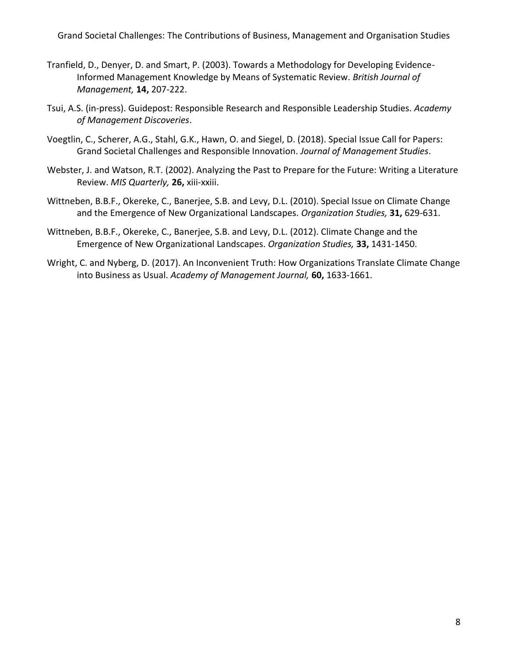- Tranfield, D., Denyer, D. and Smart, P. (2003). Towards a Methodology for Developing Evidence-Informed Management Knowledge by Means of Systematic Review. *British Journal of Management,* **14,** 207-222.
- Tsui, A.S. (in-press). Guidepost: Responsible Research and Responsible Leadership Studies. *Academy of Management Discoveries*.
- Voegtlin, C., Scherer, A.G., Stahl, G.K., Hawn, O. and Siegel, D. (2018). Special Issue Call for Papers: Grand Societal Challenges and Responsible Innovation. *Journal of Management Studies*.
- Webster, J. and Watson, R.T. (2002). Analyzing the Past to Prepare for the Future: Writing a Literature Review. *MIS Quarterly,* **26,** xiii-xxiii.
- Wittneben, B.B.F., Okereke, C., Banerjee, S.B. and Levy, D.L. (2010). Special Issue on Climate Change and the Emergence of New Organizational Landscapes. *Organization Studies,* **31,** 629-631.
- Wittneben, B.B.F., Okereke, C., Banerjee, S.B. and Levy, D.L. (2012). Climate Change and the Emergence of New Organizational Landscapes. *Organization Studies,* **33,** 1431-1450.
- Wright, C. and Nyberg, D. (2017). An Inconvenient Truth: How Organizations Translate Climate Change into Business as Usual. *Academy of Management Journal,* **60,** 1633-1661.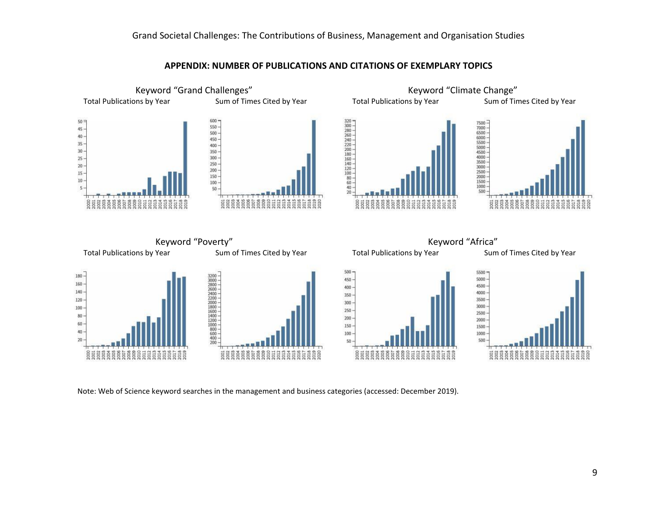

**APPENDIX: NUMBER OF PUBLICATIONS AND CITATIONS OF EXEMPLARY TOPICS**

Note: Web of Science keyword searches in the management and business categories (accessed: December 2019).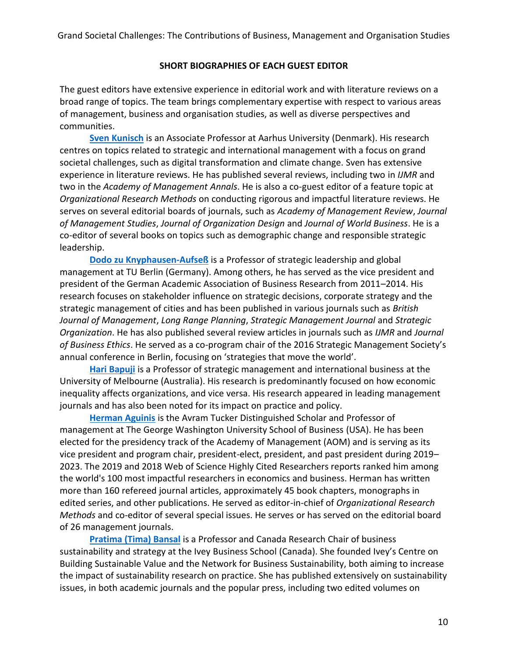#### **SHORT BIOGRAPHIES OF EACH GUEST EDITOR**

The guest editors have extensive experience in editorial work and with literature reviews on a broad range of topics. The team brings complementary expertise with respect to various areas of management, business and organisation studies, as well as diverse perspectives and communities.

**[Sven Kunisch](http://www.svenkunisch.com/)** is an Associate Professor at Aarhus University (Denmark). His research centres on topics related to strategic and international management with a focus on grand societal challenges, such as digital transformation and climate change. Sven has extensive experience in literature reviews. He has published several reviews, including two in *IJMR* and two in the *Academy of Management Annals*. He is also a co-guest editor of a feature topic at *Organizational Research Methods* on conducting rigorous and impactful literature reviews. He serves on several editorial boards of journals, such as *Academy of Management Review*, *Journal of Management Studies*, *Journal of Organization Design* and *Journal of World Business*. He is a co-editor of several books on topics such as demographic change and responsible strategic leadership.

**Dodo zu Knyphausen-Aufseß** is a Professor of strategic leadership and global management at TU Berlin (Germany). Among others, he has served as the vice president and president of the German Academic Association of Business Research from 2011–2014. His research focuses on stakeholder influence on strategic decisions, corporate strategy and the strategic management of cities and has been published in various journals such as *British Journal of Management*, *Long Range Planning*, *Strategic Management Journal* and *Strategic Organization*. He has also published several review articles in journals such as *IJMR* and *Journal of Business Ethics*. He served as a co-program chair of the 2016 Strategic Management Society's annual conference in Berlin, focusing on 'strategies that move the world'.

**[Hari Bapuji](https://www.haribapuji.org/)** is a Professor of strategic management and international business at the University of Melbourne (Australia). His research is predominantly focused on how economic inequality affects organizations, and vice versa. His research appeared in leading management journals and has also been noted for its impact on practice and policy.

**[Herman Aguinis](http://hermanaguinis.com/)** is the Avram Tucker Distinguished Scholar and Professor of management at The George Washington University School of Business (USA). He has been elected for the presidency track of the Academy of Management (AOM) and is serving as its vice president and program chair, president-elect, president, and past president during 2019– 2023. The 2019 and 2018 Web of Science Highly Cited Researchers reports ranked him among the world's 100 most impactful researchers in economics and business. Herman has written more than 160 refereed journal articles, approximately 45 book chapters, monographs in edited series, and other publications. He served as editor-in-chief of *Organizational Research Methods* and co-editor of several special issues. He serves or has served on the editorial board of 26 management journals.

**[Pratima \(Tima\) Bansal](https://www.ivey.uwo.ca/faculty/directory/tima-bansal/)** is a Professor and Canada Research Chair of business sustainability and strategy at the Ivey Business School (Canada). She founded Ivey's Centre on Building Sustainable Value and the Network for Business Sustainability, both aiming to increase the impact of sustainability research on practice. She has published extensively on sustainability issues, in both academic journals and the popular press, including two edited volumes on